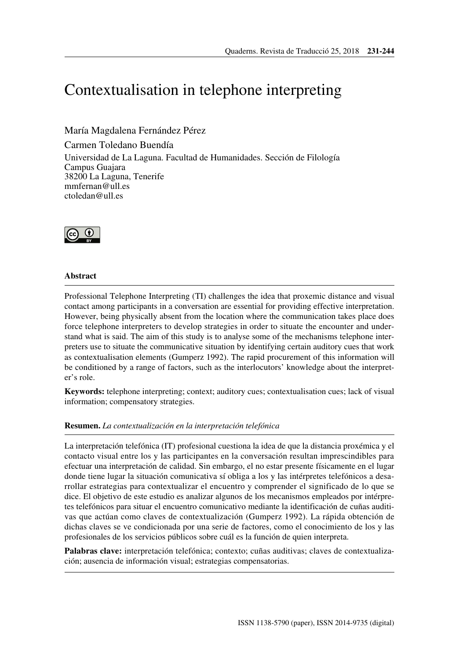# Contextualisation in telephone interpreting

María Magdalena Fernández Pérez

Carmen Toledano Buendía Universidad de La Laguna. Facultad de Humanidades. Sección de Filología Campus Guajara 38200 La Laguna, Tenerife <mmfernan@ull.es> <ctoledan@ull.es>



## **Abstract**

Professional Telephone Interpreting (TI) challenges the idea that proxemic distance and visual contact among participants in a conversation are essential for providing effective interpretation. However, being physically absent from the location where the communication takes place does force telephone interpreters to develop strategies in order to situate the encounter and understand what is said. The aim of this study is to analyse some of the mechanisms telephone interpreters use to situate the communicative situation by identifying certain auditory cues that work as contextualisation elements (Gumperz 1992). The rapid procurement of this information will be conditioned by a range of factors, such as the interlocutors' knowledge about the interpreter's role.

**Keywords:** telephone interpreting; context; auditory cues; contextualisation cues; lack of visual information; compensatory strategies.

## **Resumen.** *La contextualización en la interpretación telefónica*

La interpretación telefónica (IT) profesional cuestiona la idea de que la distancia proxémica y el contacto visual entre los y las participantes en la conversación resultan imprescindibles para efectuar una interpretación de calidad. Sin embargo, el no estar presente físicamente en el lugar donde tiene lugar la situación comunicativa sí obliga a los y las intérpretes telefónicos a desarrollar estrategias para contextualizar el encuentro y comprender el significado de lo que se dice. El objetivo de este estudio es analizar algunos de los mecanismos empleados por intérpretes telefónicos para situar el encuentro comunicativo mediante la identificación de cuñas auditivas que actúan como claves de contextualización (Gumperz 1992). La rápida obtención de dichas claves se ve condicionada por una serie de factores, como el conocimiento de los y las profesionales de los servicios públicos sobre cuál es la función de quien interpreta.

**Palabras clave:** interpretación telefónica; contexto; cuñas auditivas; claves de contextualización; ausencia de información visual; estrategias compensatorias.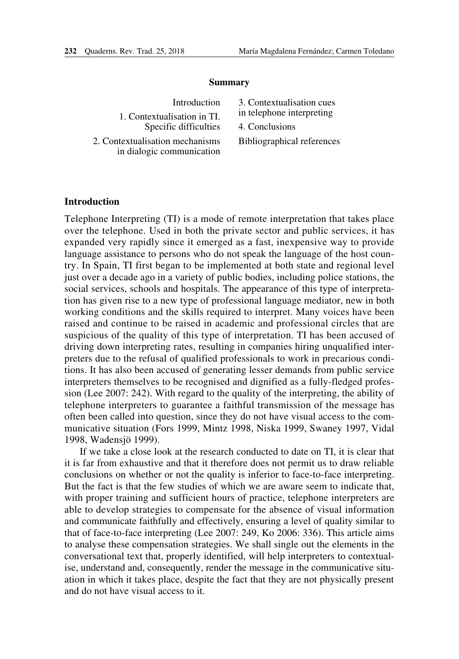#### **Summary**

| Introduction                    | 3. Con         |
|---------------------------------|----------------|
| 1. Contextualisation in TI.     | in telep       |
| Specific difficulties           | 4. Con         |
| 2. Contextualisation mechanisms | <b>Biblios</b> |

in dialogic communication

textualisation cues phone interpreting clusions graphical references

### **Introduction**

Telephone Interpreting (TI) is a mode of remote interpretation that takes place over the telephone. Used in both the private sector and public services, it has expanded very rapidly since it emerged as a fast, inexpensive way to provide language assistance to persons who do not speak the language of the host country. In Spain, TI first began to be implemented at both state and regional level just over a decade ago in a variety of public bodies, including police stations, the social services, schools and hospitals. The appearance of this type of interpretation has given rise to a new type of professional language mediator, new in both working conditions and the skills required to interpret. Many voices have been raised and continue to be raised in academic and professional circles that are suspicious of the quality of this type of interpretation. TI has been accused of driving down interpreting rates, resulting in companies hiring unqualified interpreters due to the refusal of qualified professionals to work in precarious conditions. It has also been accused of generating lesser demands from public service interpreters themselves to be recognised and dignified as a fully-fledged profession (Lee 2007: 242). With regard to the quality of the interpreting, the ability of telephone interpreters to guarantee a faithful transmission of the message has often been called into question, since they do not have visual access to the communicative situation (Fors 1999, Mintz 1998, Niska 1999, Swaney 1997, Vidal 1998, Wadensjö 1999).

If we take a close look at the research conducted to date on TI, it is clear that it is far from exhaustive and that it therefore does not permit us to draw reliable conclusions on whether or not the quality is inferior to face-to-face interpreting. But the fact is that the few studies of which we are aware seem to indicate that, with proper training and sufficient hours of practice, telephone interpreters are able to develop strategies to compensate for the absence of visual information and communicate faithfully and effectively, ensuring a level of quality similar to that of face-to-face interpreting (Lee 2007: 249, Ko 2006: 336). This article aims to analyse these compensation strategies. We shall single out the elements in the conversational text that, properly identified, will help interpreters to contextualise, understand and, consequently, render the message in the communicative situation in which it takes place, despite the fact that they are not physically present and do not have visual access to it.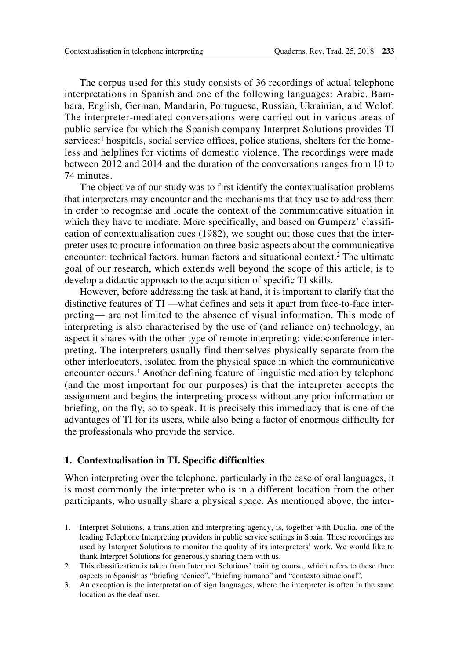The corpus used for this study consists of 36 recordings of actual telephone interpretations in Spanish and one of the following languages: Arabic, Bambara, English, German, Mandarin, Portuguese, Russian, Ukrainian, and Wolof. The interpreter-mediated conversations were carried out in various areas of public service for which the Spanish company Interpret Solutions provides TI services:<sup>1</sup> hospitals, social service offices, police stations, shelters for the homeless and helplines for victims of domestic violence. The recordings were made between 2012 and 2014 and the duration of the conversations ranges from 10 to 74 minutes.

The objective of our study was to first identify the contextualisation problems that interpreters may encounter and the mechanisms that they use to address them in order to recognise and locate the context of the communicative situation in which they have to mediate. More specifically, and based on Gumperz' classification of contextualisation cues (1982), we sought out those cues that the interpreter uses to procure information on three basic aspects about the communicative encounter: technical factors, human factors and situational context.<sup>2</sup> The ultimate goal of our research, which extends well beyond the scope of this article, is to develop a didactic approach to the acquisition of specific TI skills.

However, before addressing the task at hand, it is important to clarify that the distinctive features of TI —what defines and sets it apart from face-to-face interpreting— are not limited to the absence of visual information. This mode of interpreting is also characterised by the use of (and reliance on) technology, an aspect it shares with the other type of remote interpreting: videoconference interpreting. The interpreters usually find themselves physically separate from the other interlocutors, isolated from the physical space in which the communicative encounter occurs.<sup>3</sup> Another defining feature of linguistic mediation by telephone (and the most important for our purposes) is that the interpreter accepts the assignment and begins the interpreting process without any prior information or briefing, on the fly, so to speak. It is precisely this immediacy that is one of the advantages of TI for its users, while also being a factor of enormous difficulty for the professionals who provide the service.

## **1. Contextualisation in TI. Specific difficulties**

When interpreting over the telephone, particularly in the case of oral languages, it is most commonly the interpreter who is in a different location from the other participants, who usually share a physical space. As mentioned above, the inter-

- 1. Interpret Solutions, a translation and interpreting agency, is, together with Dualia, one of the leading Telephone Interpreting providers in public service settings in Spain. These recordings are used by Interpret Solutions to monitor the quality of its interpreters' work. We would like to thank Interpret Solutions for generously sharing them with us.
- 2. This classification is taken from Interpret Solutions' training course, which refers to these three aspects in Spanish as "briefing técnico", "briefing humano" and "contexto situacional".
- 3. An exception is the interpretation of sign languages, where the interpreter is often in the same location as the deaf user.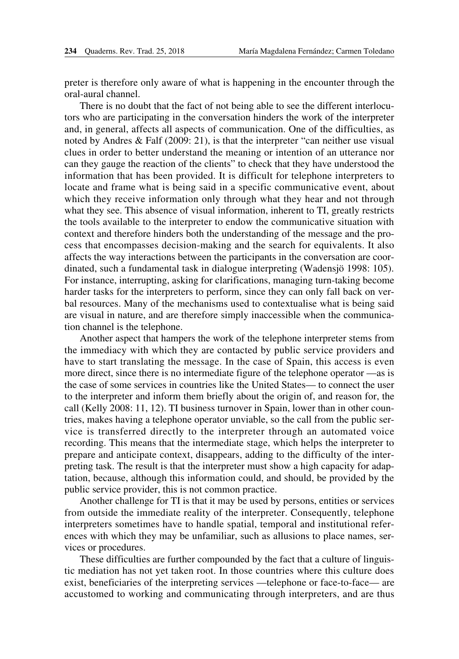preter is therefore only aware of what is happening in the encounter through the oral-aural channel.

There is no doubt that the fact of not being able to see the different interlocutors who are participating in the conversation hinders the work of the interpreter and, in general, affects all aspects of communication. One of the difficulties, as noted by Andres & Falf (2009: 21), is that the interpreter "can neither use visual clues in order to better understand the meaning or intention of an utterance nor can they gauge the reaction of the clients" to check that they have understood the information that has been provided. It is difficult for telephone interpreters to locate and frame what is being said in a specific communicative event, about which they receive information only through what they hear and not through what they see. This absence of visual information, inherent to TI, greatly restricts the tools available to the interpreter to endow the communicative situation with context and therefore hinders both the understanding of the message and the process that encompasses decision-making and the search for equivalents. It also affects the way interactions between the participants in the conversation are coordinated, such a fundamental task in dialogue interpreting (Wadensjö 1998: 105). For instance, interrupting, asking for clarifications, managing turn-taking become harder tasks for the interpreters to perform, since they can only fall back on verbal resources. Many of the mechanisms used to contextualise what is being said are visual in nature, and are therefore simply inaccessible when the communication channel is the telephone.

Another aspect that hampers the work of the telephone interpreter stems from the immediacy with which they are contacted by public service providers and have to start translating the message. In the case of Spain, this access is even more direct, since there is no intermediate figure of the telephone operator —as is the case of some services in countries like the United States— to connect the user to the interpreter and inform them briefly about the origin of, and reason for, the call (Kelly 2008: 11, 12). TI business turnover in Spain, lower than in other countries, makes having a telephone operator unviable, so the call from the public service is transferred directly to the interpreter through an automated voice recording. This means that the intermediate stage, which helps the interpreter to prepare and anticipate context, disappears, adding to the difficulty of the interpreting task. The result is that the interpreter must show a high capacity for adaptation, because, although this information could, and should, be provided by the public service provider, this is not common practice.

Another challenge for TI is that it may be used by persons, entities or services from outside the immediate reality of the interpreter. Consequently, telephone interpreters sometimes have to handle spatial, temporal and institutional references with which they may be unfamiliar, such as allusions to place names, services or procedures.

These difficulties are further compounded by the fact that a culture of linguistic mediation has not yet taken root. In those countries where this culture does exist, beneficiaries of the interpreting services —telephone or face-to-face— are accustomed to working and communicating through interpreters, and are thus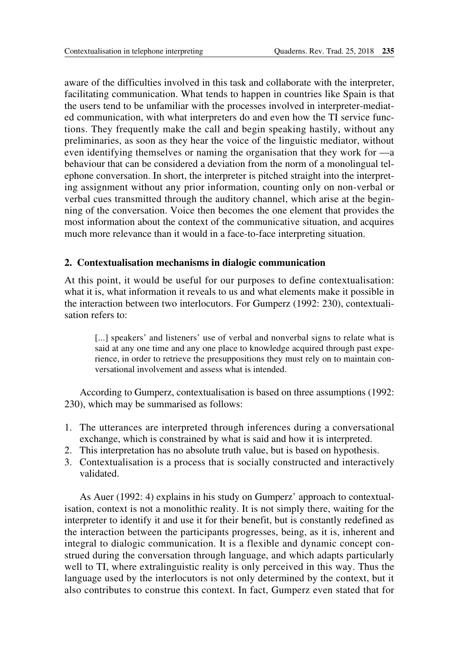aware of the difficulties involved in this task and collaborate with the interpreter, facilitating communication. What tends to happen in countries like Spain is that the users tend to be unfamiliar with the processes involved in interpreter-mediated communication, with what interpreters do and even how the TI service functions. They frequently make the call and begin speaking hastily, without any preliminaries, as soon as they hear the voice of the linguistic mediator, without even identifying themselves or naming the organisation that they work for —a behaviour that can be considered a deviation from the norm of a monolingual telephone conversation. In short, the interpreter is pitched straight into the interpreting assignment without any prior information, counting only on non-verbal or verbal cues transmitted through the auditory channel, which arise at the beginning of the conversation. Voice then becomes the one element that provides the most information about the context of the communicative situation, and acquires much more relevance than it would in a face-to-face interpreting situation.

# **2. Contextualisation mechanisms in dialogic communication**

At this point, it would be useful for our purposes to define contextualisation: what it is, what information it reveals to us and what elements make it possible in the interaction between two interlocutors. For Gumperz (1992: 230), contextualisation refers to:

[...] speakers' and listeners' use of verbal and nonverbal signs to relate what is said at any one time and any one place to knowledge acquired through past experience, in order to retrieve the presuppositions they must rely on to maintain conversational involvement and assess what is intended.

According to Gumperz, contextualisation is based on three assumptions (1992: 230), which may be summarised as follows:

- 1. The utterances are interpreted through inferences during a conversational exchange, which is constrained by what is said and how it is interpreted.
- 2. This interpretation has no absolute truth value, but is based on hypothesis.
- 3. Contextualisation is a process that is socially constructed and interactively validated.

As Auer (1992: 4) explains in his study on Gumperz' approach to contextualisation, context is not a monolithic reality. It is not simply there, waiting for the interpreter to identify it and use it for their benefit, but is constantly redefined as the interaction between the participants progresses, being, as it is, inherent and integral to dialogic communication. It is a flexible and dynamic concept construed during the conversation through language, and which adapts particularly well to TI, where extralinguistic reality is only perceived in this way. Thus the language used by the interlocutors is not only determined by the context, but it also contributes to construe this context. In fact, Gumperz even stated that for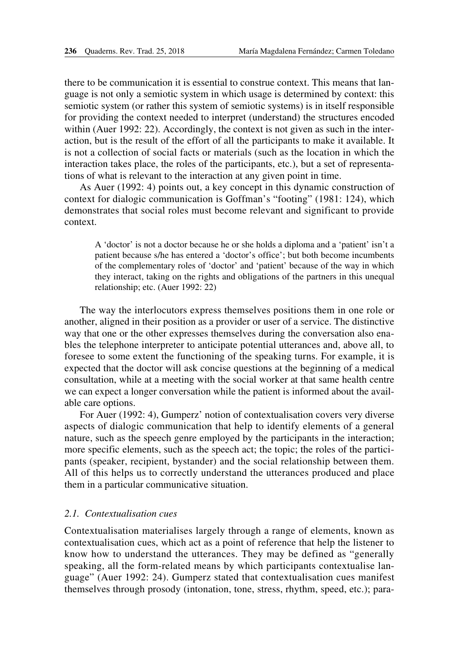there to be communication it is essential to construe context. This means that language is not only a semiotic system in which usage is determined by context: this semiotic system (or rather this system of semiotic systems) is in itself responsible for providing the context needed to interpret (understand) the structures encoded within (Auer 1992: 22). Accordingly, the context is not given as such in the interaction, but is the result of the effort of all the participants to make it available. It is not a collection of social facts or materials (such as the location in which the interaction takes place, the roles of the participants, etc.), but a set of representations of what is relevant to the interaction at any given point in time.

As Auer (1992: 4) points out, a key concept in this dynamic construction of context for dialogic communication is Goffman's "footing" (1981: 124), which demonstrates that social roles must become relevant and significant to provide context.

A 'doctor' is not a doctor because he or she holds a diploma and a 'patient' isn't a patient because s/he has entered a 'doctor's office'; but both become incumbents of the complementary roles of 'doctor' and 'patient' because of the way in which they interact, taking on the rights and obligations of the partners in this unequal relationship; etc. (Auer 1992: 22)

The way the interlocutors express themselves positions them in one role or another, aligned in their position as a provider or user of a service. The distinctive way that one or the other expresses themselves during the conversation also enables the telephone interpreter to anticipate potential utterances and, above all, to foresee to some extent the functioning of the speaking turns. For example, it is expected that the doctor will ask concise questions at the beginning of a medical consultation, while at a meeting with the social worker at that same health centre we can expect a longer conversation while the patient is informed about the available care options.

For Auer (1992: 4), Gumperz' notion of contextualisation covers very diverse aspects of dialogic communication that help to identify elements of a general nature, such as the speech genre employed by the participants in the interaction; more specific elements, such as the speech act; the topic; the roles of the participants (speaker, recipient, bystander) and the social relationship between them. All of this helps us to correctly understand the utterances produced and place them in a particular communicative situation.

## *2.1. Contextualisation cues*

Contextualisation materialises largely through a range of elements, known as contextualisation cues, which act as a point of reference that help the listener to know how to understand the utterances. They may be defined as "generally speaking, all the form-related means by which participants contextualise language" (Auer 1992: 24). Gumperz stated that contextualisation cues manifest themselves through prosody (intonation, tone, stress, rhythm, speed, etc.); para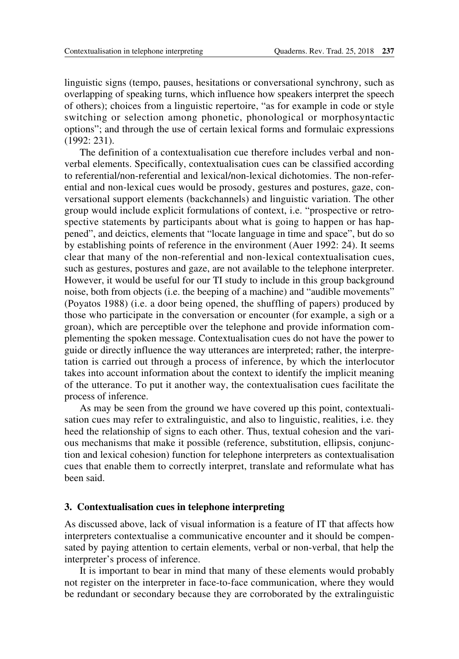linguistic signs (tempo, pauses, hesitations or conversational synchrony, such as overlapping of speaking turns, which influence how speakers interpret the speech of others); choices from a linguistic repertoire, "as for example in code or style switching or selection among phonetic, phonological or morphosyntactic options"; and through the use of certain lexical forms and formulaic expressions (1992: 231).

The definition of a contextualisation cue therefore includes verbal and nonverbal elements. Specifically, contextualisation cues can be classified according to referential/non-referential and lexical/non-lexical dichotomies. The non-referential and non-lexical cues would be prosody, gestures and postures, gaze, conversational support elements (backchannels) and linguistic variation. The other group would include explicit formulations of context, i.e. "prospective or retrospective statements by participants about what is going to happen or has happened", and deictics, elements that "locate language in time and space", but do so by establishing points of reference in the environment (Auer 1992: 24). It seems clear that many of the non-referential and non-lexical contextualisation cues, such as gestures, postures and gaze, are not available to the telephone interpreter. However, it would be useful for our TI study to include in this group background noise, both from objects (i.e. the beeping of a machine) and "audible movements" (Poyatos 1988) (i.e. a door being opened, the shuffling of papers) produced by those who participate in the conversation or encounter (for example, a sigh or a groan), which are perceptible over the telephone and provide information complementing the spoken message. Contextualisation cues do not have the power to guide or directly influence the way utterances are interpreted; rather, the interpretation is carried out through a process of inference, by which the interlocutor takes into account information about the context to identify the implicit meaning of the utterance. To put it another way, the contextualisation cues facilitate the process of inference.

As may be seen from the ground we have covered up this point, contextualisation cues may refer to extralinguistic, and also to linguistic, realities, i.e. they heed the relationship of signs to each other. Thus, textual cohesion and the various mechanisms that make it possible (reference, substitution, ellipsis, conjunction and lexical cohesion) function for telephone interpreters as contextualisation cues that enable them to correctly interpret, translate and reformulate what has been said.

## **3. Contextualisation cues in telephone interpreting**

As discussed above, lack of visual information is a feature of IT that affects how interpreters contextualise a communicative encounter and it should be compensated by paying attention to certain elements, verbal or non-verbal, that help the interpreter's process of inference.

It is important to bear in mind that many of these elements would probably not register on the interpreter in face-to-face communication, where they would be redundant or secondary because they are corroborated by the extralinguistic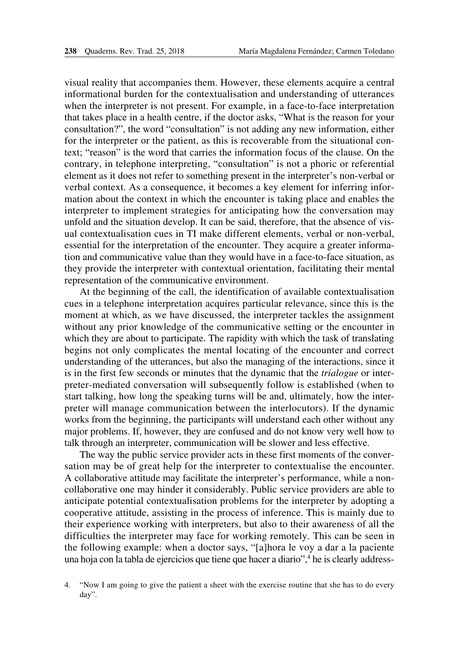visual reality that accompanies them. However, these elements acquire a central informational burden for the contextualisation and understanding of utterances when the interpreter is not present. For example, in a face-to-face interpretation that takes place in a health centre, if the doctor asks, "What is the reason for your consultation?", the word "consultation" is not adding any new information, either for the interpreter or the patient, as this is recoverable from the situational context; "reason" is the word that carries the information focus of the clause. On the contrary, in telephone interpreting, "consultation" is not a phoric or referential element as it does not refer to something present in the interpreter's non-verbal or verbal context. As a consequence, it becomes a key element for inferring information about the context in which the encounter is taking place and enables the interpreter to implement strategies for anticipating how the conversation may unfold and the situation develop. It can be said, therefore, that the absence of visual contextualisation cues in TI make different elements, verbal or non-verbal, essential for the interpretation of the encounter. They acquire a greater information and communicative value than they would have in a face-to-face situation, as they provide the interpreter with contextual orientation, facilitating their mental representation of the communicative environment.

At the beginning of the call, the identification of available contextualisation cues in a telephone interpretation acquires particular relevance, since this is the moment at which, as we have discussed, the interpreter tackles the assignment without any prior knowledge of the communicative setting or the encounter in which they are about to participate. The rapidity with which the task of translating begins not only complicates the mental locating of the encounter and correct understanding of the utterances, but also the managing of the interactions, since it is in the first few seconds or minutes that the dynamic that the *trialogue* or interpreter-mediated conversation will subsequently follow is established (when to start talking, how long the speaking turns will be and, ultimately, how the interpreter will manage communication between the interlocutors). If the dynamic works from the beginning, the participants will understand each other without any major problems. If, however, they are confused and do not know very well how to talk through an interpreter, communication will be slower and less effective.

The way the public service provider acts in these first moments of the conversation may be of great help for the interpreter to contextualise the encounter. A collaborative attitude may facilitate the interpreter's performance, while a noncollaborative one may hinder it considerably. Public service providers are able to anticipate potential contextualisation problems for the interpreter by adopting a cooperative attitude, assisting in the process of inference. This is mainly due to their experience working with interpreters, but also to their awareness of all the difficulties the interpreter may face for working remotely. This can be seen in the following example: when a doctor says, "[a]hora le voy a dar a la paciente una hoja con la tabla de ejercicios que tiene que hacer a diario",<sup>4</sup> he is clearly address-

<sup>4.</sup> "Now I am going to give the patient a sheet with the exercise routine that she has to do every day".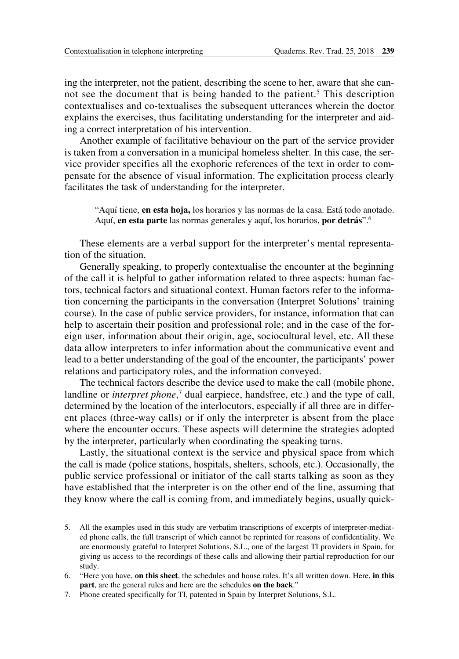ing the interpreter, not the patient, describing the scene to her, aware that she cannot see the document that is being handed to the patient.<sup>5</sup> This description contextualises and co-textualises the subsequent utterances wherein the doctor explains the exercises, thus facilitating understanding for the interpreter and aiding a correct interpretation of his intervention.

Another example of facilitative behaviour on the part of the service provider is taken from a conversation in a municipal homeless shelter. In this case, the service provider specifies all the exophoric references of the text in order to compensate for the absence of visual information. The explicitation process clearly facilitates the task of understanding for the interpreter.

"Aquí tiene, **en esta hoja,** los horarios y las normas de la casa. Está todo anotado. Aquí, **en esta parte** las normas generales y aquí, los horarios, **por detrás**".6

These elements are a verbal support for the interpreter's mental representation of the situation.

Generally speaking, to properly contextualise the encounter at the beginning of the call it is helpful to gather information related to three aspects: human factors, technical factors and situational context. Human factors refer to the information concerning the participants in the conversation (Interpret Solutions' training course). In the case of public service providers, for instance, information that can help to ascertain their position and professional role; and in the case of the foreign user, information about their origin, age, sociocultural level, etc. All these data allow interpreters to infer information about the communicative event and lead to a better understanding of the goal of the encounter, the participants' power relations and participatory roles, and the information conveyed.

The technical factors describe the device used to make the call (mobile phone, landline or *interpret phone*,<sup>7</sup> dual earpiece, handsfree, etc.) and the type of call, determined by the location of the interlocutors, especially if all three are in different places (three-way calls) or if only the interpreter is absent from the place where the encounter occurs. These aspects will determine the strategies adopted by the interpreter, particularly when coordinating the speaking turns.

Lastly, the situational context is the service and physical space from which the call is made (police stations, hospitals, shelters, schools, etc.). Occasionally, the public service professional or initiator of the call starts talking as soon as they have established that the interpreter is on the other end of the line, assuming that they know where the call is coming from, and immediately begins, usually quick-

- 5. All the examples used in this study are verbatim transcriptions of excerpts of interpreter-mediated phone calls, the full transcript of which cannot be reprinted for reasons of confidentiality. We are enormously grateful to Interpret Solutions, S.L., one of the largest TI providers in Spain, for giving us access to the recordings of these calls and allowing their partial reproduction for our study.
- 6. "Here you have, **on this sheet**, the schedules and house rules. It's all written down. Here, **in this part**, are the general rules and here are the schedules **on the back**."
- 7. Phone created specifically for TI, patented in Spain by Interpret Solutions, S.L.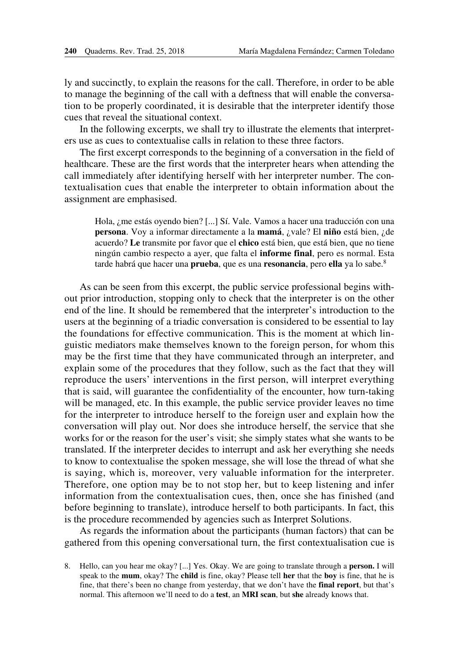ly and succinctly, to explain the reasons for the call. Therefore, in order to be able to manage the beginning of the call with a deftness that will enable the conversation to be properly coordinated, it is desirable that the interpreter identify those cues that reveal the situational context.

In the following excerpts, we shall try to illustrate the elements that interpreters use as cues to contextualise calls in relation to these three factors.

The first excerpt corresponds to the beginning of a conversation in the field of healthcare. These are the first words that the interpreter hears when attending the call immediately after identifying herself with her interpreter number. The contextualisation cues that enable the interpreter to obtain information about the assignment are emphasised.

Hola, ¿me estás oyendo bien? [...] Sí. Vale. Vamos a hacer una traducción con una **persona**. Voy a informar directamente a la **mamá**, ¿vale? El **niño** está bien, ¿de acuerdo? **Le** transmite por favor que el **chico** está bien, que está bien, que no tiene ningún cambio respecto a ayer, que falta el **informe final**, pero es normal. Esta tarde habrá que hacer una **prueba**, que es una **resonancia**, pero **ella** ya lo sabe.8

As can be seen from this excerpt, the public service professional begins without prior introduction, stopping only to check that the interpreter is on the other end of the line. It should be remembered that the interpreter's introduction to the users at the beginning of a triadic conversation is considered to be essential to lay the foundations for effective communication. This is the moment at which linguistic mediators make themselves known to the foreign person, for whom this may be the first time that they have communicated through an interpreter, and explain some of the procedures that they follow, such as the fact that they will reproduce the users' interventions in the first person, will interpret everything that is said, will guarantee the confidentiality of the encounter, how turn-taking will be managed, etc. In this example, the public service provider leaves no time for the interpreter to introduce herself to the foreign user and explain how the conversation will play out. Nor does she introduce herself, the service that she works for or the reason for the user's visit; she simply states what she wants to be translated. If the interpreter decides to interrupt and ask her everything she needs to know to contextualise the spoken message, she will lose the thread of what she is saying, which is, moreover, very valuable information for the interpreter. Therefore, one option may be to not stop her, but to keep listening and infer information from the contextualisation cues, then, once she has finished (and before beginning to translate), introduce herself to both participants. In fact, this is the procedure recommended by agencies such as Interpret Solutions.

As regards the information about the participants (human factors) that can be gathered from this opening conversational turn, the first contextualisation cue is

<sup>8.</sup> Hello, can you hear me okay? [...] Yes. Okay. We are going to translate through a **person.** I will speak to the **mum**, okay? The **child** is fine, okay? Please tell **her** that the **boy** is fine, that he is fine, that there's been no change from yesterday, that we don't have the **final report**, but that's normal. This afternoon we'll need to do a **test**, an **MRI scan**, but **she** already knows that.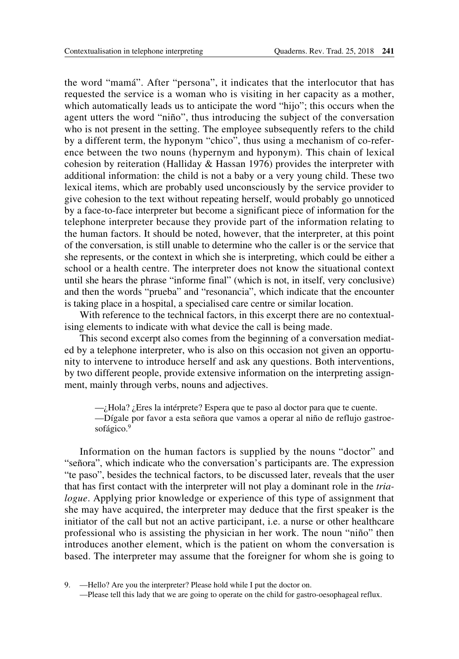the word "mamá". After "persona", it indicates that the interlocutor that has requested the service is a woman who is visiting in her capacity as a mother, which automatically leads us to anticipate the word "hijo"; this occurs when the agent utters the word "niño", thus introducing the subject of the conversation who is not present in the setting. The employee subsequently refers to the child by a different term, the hyponym "chico", thus using a mechanism of co-reference between the two nouns (hypernym and hyponym). This chain of lexical cohesion by reiteration (Halliday & Hassan 1976) provides the interpreter with additional information: the child is not a baby or a very young child. These two lexical items, which are probably used unconsciously by the service provider to give cohesion to the text without repeating herself, would probably go unnoticed by a face-to-face interpreter but become a significant piece of information for the telephone interpreter because they provide part of the information relating to the human factors. It should be noted, however, that the interpreter, at this point of the conversation, is still unable to determine who the caller is or the service that she represents, or the context in which she is interpreting, which could be either a school or a health centre. The interpreter does not know the situational context until she hears the phrase "informe final" (which is not, in itself, very conclusive) and then the words "prueba" and "resonancia", which indicate that the encounter is taking place in a hospital, a specialised care centre or similar location.

With reference to the technical factors, in this excerpt there are no contextualising elements to indicate with what device the call is being made.

This second excerpt also comes from the beginning of a conversation mediated by a telephone interpreter, who is also on this occasion not given an opportunity to intervene to introduce herself and ask any questions. Both interventions, by two different people, provide extensive information on the interpreting assignment, mainly through verbs, nouns and adjectives.

 $-$ *i*Hola? *i* Eres la intérprete? Espera que te paso al doctor para que te cuente.

—Dígale por favor a esta señora que vamos a operar al niño de reflujo gastroesofágico.<sup>9</sup>

Information on the human factors is supplied by the nouns "doctor" and "señora", which indicate who the conversation's participants are. The expression "te paso", besides the technical factors, to be discussed later, reveals that the user that has first contact with the interpreter will not play a dominant role in the *trialogue*. Applying prior knowledge or experience of this type of assignment that she may have acquired, the interpreter may deduce that the first speaker is the initiator of the call but not an active participant, i.e. a nurse or other healthcare professional who is assisting the physician in her work. The noun "niño" then introduces another element, which is the patient on whom the conversation is based. The interpreter may assume that the foreigner for whom she is going to

9. —Hello? Are you the interpreter? Please hold while I put the doctor on.

—Please tell this lady that we are going to operate on the child for gastro-oesophageal reflux.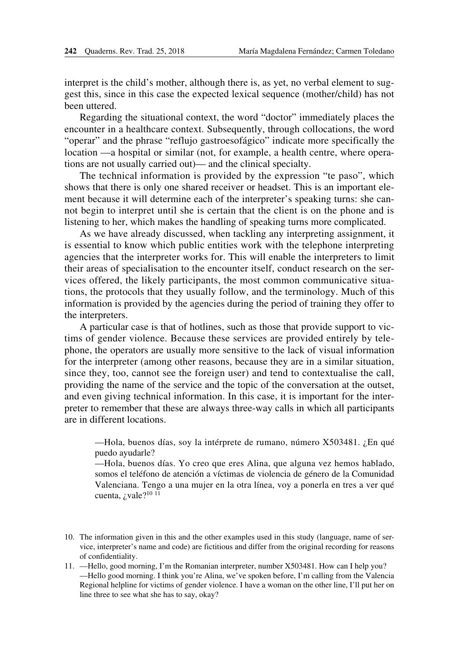interpret is the child's mother, although there is, as yet, no verbal element to suggest this, since in this case the expected lexical sequence (mother/child) has not been uttered.

Regarding the situational context, the word "doctor" immediately places the encounter in a healthcare context. Subsequently, through collocations, the word "operar" and the phrase "reflujo gastroesofágico" indicate more specifically the location —a hospital or similar (not, for example, a health centre, where operations are not usually carried out)— and the clinical specialty.

The technical information is provided by the expression "te paso", which shows that there is only one shared receiver or headset. This is an important element because it will determine each of the interpreter's speaking turns: she cannot begin to interpret until she is certain that the client is on the phone and is listening to her, which makes the handling of speaking turns more complicated.

As we have already discussed, when tackling any interpreting assignment, it is essential to know which public entities work with the telephone interpreting agencies that the interpreter works for. This will enable the interpreters to limit their areas of specialisation to the encounter itself, conduct research on the services offered, the likely participants, the most common communicative situations, the protocols that they usually follow, and the terminology. Much of this information is provided by the agencies during the period of training they offer to the interpreters.

A particular case is that of hotlines, such as those that provide support to victims of gender violence. Because these services are provided entirely by telephone, the operators are usually more sensitive to the lack of visual information for the interpreter (among other reasons, because they are in a similar situation, since they, too, cannot see the foreign user) and tend to contextualise the call, providing the name of the service and the topic of the conversation at the outset, and even giving technical information. In this case, it is important for the interpreter to remember that these are always three-way calls in which all participants are in different locations.

—Hola, buenos días, soy la intérprete de rumano, número X503481. ¿En qué puedo ayudarle?

—Hola, buenos días. Yo creo que eres Alina, que alguna vez hemos hablado, somos el teléfono de atención a víctimas de violencia de género de la Comunidad Valenciana. Tengo a una mujer en la otra línea, voy a ponerla en tres a ver qué cuenta,  $i$  vale?<sup>10 11</sup>

11. —Hello, good morning, I'm the Romanian interpreter, number X503481. How can I help you? —Hello good morning. I think you're Alina, we've spoken before, I'm calling from the Valencia Regional helpline for victims of gender violence. I have a woman on the other line, I'll put her on line three to see what she has to say, okay?

<sup>10.</sup> The information given in this and the other examples used in this study (language, name of service, interpreter's name and code) are fictitious and differ from the original recording for reasons of confidentiality.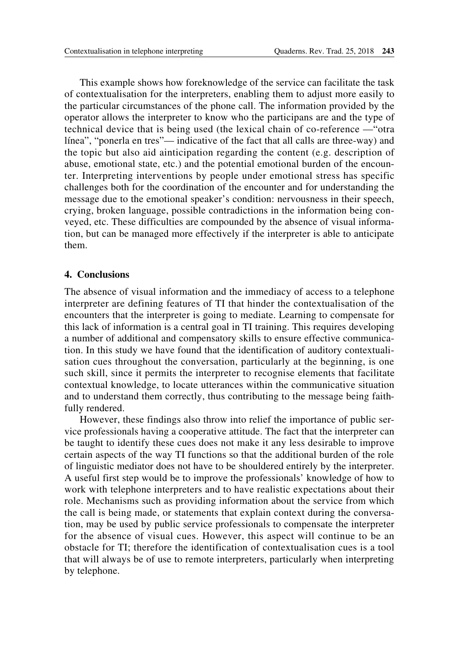This example shows how foreknowledge of the service can facilitate the task of contextualisation for the interpreters, enabling them to adjust more easily to the particular circumstances of the phone call. The information provided by the operator allows the interpreter to know who the participans are and the type of technical device that is being used (the lexical chain of co-reference —"otra línea", "ponerla en tres"— indicative of the fact that all calls are three-way) and the topic but also aid ainticipation regarding the content (e.g. description of abuse, emotional state, etc.) and the potential emotional burden of the encounter. Interpreting interventions by people under emotional stress has specific challenges both for the coordination of the encounter and for understanding the message due to the emotional speaker's condition: nervousness in their speech, crying, broken language, possible contradictions in the information being conveyed, etc. These difficulties are compounded by the absence of visual information, but can be managed more effectively if the interpreter is able to anticipate them.

## **4. Conclusions**

The absence of visual information and the immediacy of access to a telephone interpreter are defining features of TI that hinder the contextualisation of the encounters that the interpreter is going to mediate. Learning to compensate for this lack of information is a central goal in TI training. This requires developing a number of additional and compensatory skills to ensure effective communication. In this study we have found that the identification of auditory contextualisation cues throughout the conversation, particularly at the beginning, is one such skill, since it permits the interpreter to recognise elements that facilitate contextual knowledge, to locate utterances within the communicative situation and to understand them correctly, thus contributing to the message being faithfully rendered.

However, these findings also throw into relief the importance of public service professionals having a cooperative attitude. The fact that the interpreter can be taught to identify these cues does not make it any less desirable to improve certain aspects of the way TI functions so that the additional burden of the role of linguistic mediator does not have to be shouldered entirely by the interpreter. A useful first step would be to improve the professionals' knowledge of how to work with telephone interpreters and to have realistic expectations about their role. Mechanisms such as providing information about the service from which the call is being made, or statements that explain context during the conversation, may be used by public service professionals to compensate the interpreter for the absence of visual cues. However, this aspect will continue to be an obstacle for TI; therefore the identification of contextualisation cues is a tool that will always be of use to remote interpreters, particularly when interpreting by telephone.